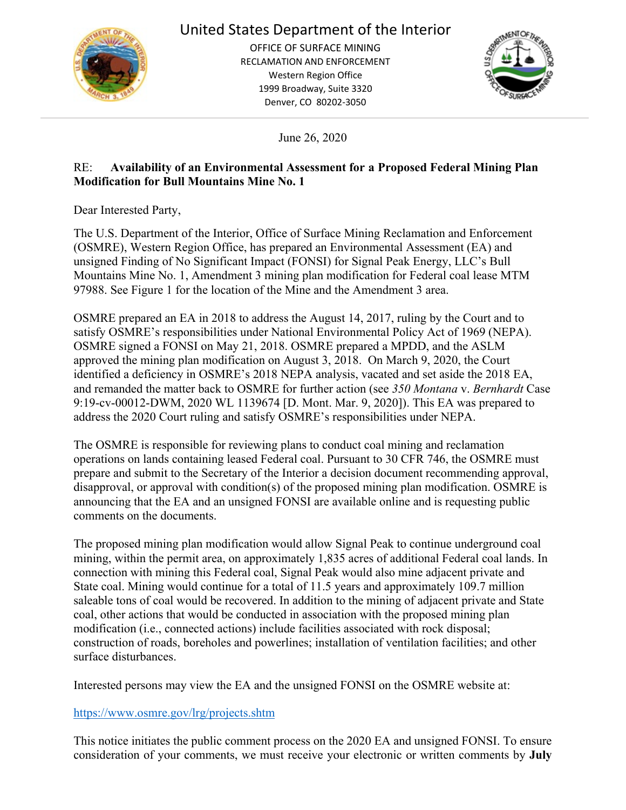

## United States Department of the Interior

OFFICE OF SURFACE MINING RECLAMATION AND ENFORCEMENT Western Region Office 1999 Broadway, Suite 3320 Denver, CO 80202-3050



June 26, 2020

## RE: **Availability of an Environmental Assessment for a Proposed Federal Mining Plan Modification for Bull Mountains Mine No. 1**

Dear Interested Party,

The U.S. Department of the Interior, Office of Surface Mining Reclamation and Enforcement (OSMRE), Western Region Office, has prepared an Environmental Assessment (EA) and unsigned Finding of No Significant Impact (FONSI) for Signal Peak Energy, LLC's Bull Mountains Mine No. 1, Amendment 3 mining plan modification for Federal coal lease MTM 97988. See Figure 1 for the location of the Mine and the Amendment 3 area.

OSMRE prepared an EA in 2018 to address the August 14, 2017, ruling by the Court and to satisfy OSMRE's responsibilities under National Environmental Policy Act of 1969 (NEPA). OSMRE signed a FONSI on May 21, 2018. OSMRE prepared a MPDD, and the ASLM approved the mining plan modification on August 3, 2018. On March 9, 2020, the Court identified a deficiency in OSMRE's 2018 NEPA analysis, vacated and set aside the 2018 EA, and remanded the matter back to OSMRE for further action (see *350 Montana* v. *Bernhardt* Case 9:19-cv-00012-DWM, 2020 WL 1139674 [D. Mont. Mar. 9, 2020]). This EA was prepared to address the 2020 Court ruling and satisfy OSMRE's responsibilities under NEPA.

The OSMRE is responsible for reviewing plans to conduct coal mining and reclamation operations on lands containing leased Federal coal. Pursuant to 30 CFR 746, the OSMRE must prepare and submit to the Secretary of the Interior a decision document recommending approval, disapproval, or approval with condition(s) of the proposed mining plan modification. OSMRE is announcing that the EA and an unsigned FONSI are available online and is requesting public comments on the documents.

The proposed mining plan modification would allow Signal Peak to continue underground coal mining, within the permit area, on approximately 1,835 acres of additional Federal coal lands. In connection with mining this Federal coal, Signal Peak would also mine adjacent private and State coal. Mining would continue for a total of 11.5 years and approximately 109.7 million saleable tons of coal would be recovered. In addition to the mining of adjacent private and State coal, other actions that would be conducted in association with the proposed mining plan modification (i.e., connected actions) include facilities associated with rock disposal; construction of roads, boreholes and powerlines; installation of ventilation facilities; and other surface disturbances.

Interested persons may view the EA and the unsigned FONSI on the OSMRE website at:

## <https://www.osmre.gov/lrg/projects.shtm>

This notice initiates the public comment process on the 2020 EA and unsigned FONSI. To ensure consideration of your comments, we must receive your electronic or written comments by **July**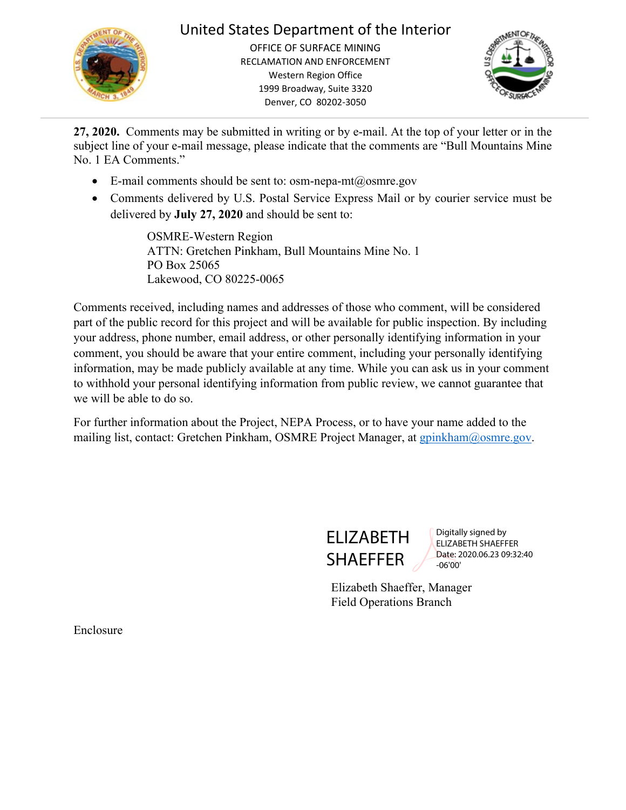

## United States Department of the Interior

OFFICE OF SURFACE MINING RECLAMATION AND ENFORCEMENT Western Region Office 1999 Broadway, Suite 3320 Denver, CO 80202-3050



**27, 2020.** Comments may be submitted in writing or by e-mail. At the top of your letter or in the subject line of your e-mail message, please indicate that the comments are "Bull Mountains Mine No. 1 EA Comments."

- E-mail comments should be sent to: [osm-nepa-mt@osmre.gov](mailto:osm-nepa-mt@osmre.gov)
- Comments delivered by U.S. Postal Service Express Mail or by courier service must be delivered by **July 27, 2020** and should be sent to:

OSMRE-Western Region ATTN: Gretchen Pinkham, Bull Mountains Mine No. 1 PO Box 25065 Lakewood, CO 80225-0065

Comments received, including names and addresses of those who comment, will be considered part of the public record for this project and will be available for public inspection. By including your address, phone number, email address, or other personally identifying information in your comment, you should be aware that your entire comment, including your personally identifying information, may be made publicly available at any time. While you can ask us in your comment to withhold your personal identifying information from public review, we cannot guarantee that we will be able to do so.

For further information about the Project, NEPA Process, or to have your name added to the mailing list, contact: Gretchen Pinkham, OSMRE Project Manager, at [gpinkham@osmre.gov.](mailto:gpinkham@osmre.gov)



Digitally signed by ELIZABETH SHAEFFER Date: 2020.06.23 09:32:40 -06'00'

Elizabeth Shaeffer, Manager Field Operations Branch

Enclosure